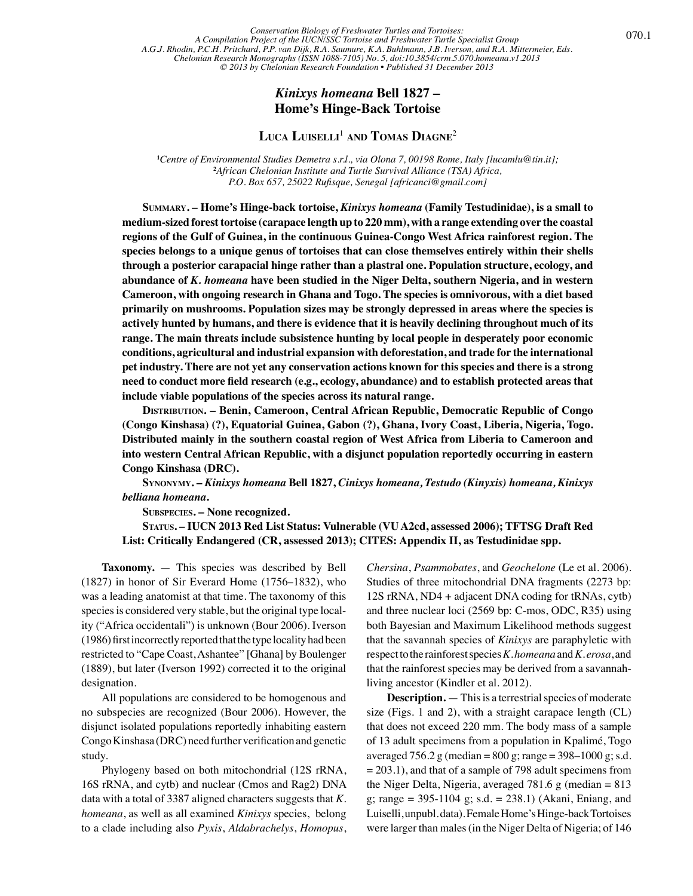Testudinidae *— Kinixys homeana* 070.1 *Conservation Biology of Freshwater Turtles and Tortoises: A Compilation Project of the IUCN/SSC Tortoise and Freshwater Turtle Specialist Group A.G.J. Rhodin, P.C.H. Pritchard, P.P. van Dijk, R.A. Saumure, K.A. Buhlmann, J.B. Iverson, and R.A. Mittermeier, Eds. Chelonian Research Monographs (ISSN 1088-7105) No. 5, doi:10.3854/crm.5.070.homeana.v1.2013 © 2013 by Chelonian Research Foundation • Published 31 December 2013*

## *Kinixys homeana* **Bell 1827 – Home's Hinge-Back Tortoise**

## **Luca Luiselli** <sup>1</sup> **and Tomas Diagne**<sup>2</sup>

**1** *Centre of Environmental Studies Demetra s.r.l., via Olona 7, 00198 Rome, Italy [lucamlu@tin.it];* **2** *African Chelonian Institute and Turtle Survival Alliance (TSA) Africa, P.O. Box 657, 25022 Rufisque, Senegal [africanci@gmail.com]*

**Summary. – Home's Hinge-back tortoise,** *Kinixys homeana* **(Family Testudinidae), is a small to medium-sized forest tortoise (carapace length up to 220 mm), with a range extending over the coastal regions of the Gulf of Guinea, in the continuous Guinea-Congo West Africa rainforest region. The species belongs to a unique genus of tortoises that can close themselves entirely within their shells through a posterior carapacial hinge rather than a plastral one. Population structure, ecology, and abundance of** *K. homeana* **have been studied in the Niger Delta, southern Nigeria, and in western Cameroon, with ongoing research in Ghana and Togo. The species is omnivorous, with a diet based primarily on mushrooms. Population sizes may be strongly depressed in areas where the species is actively hunted by humans, and there is evidence that it is heavily declining throughout much of its range. The main threats include subsistence hunting by local people in desperately poor economic conditions, agricultural and industrial expansion with deforestation, and trade for the international pet industry. There are not yet any conservation actions known for this species and there is a strong need to conduct more field research (e.g., ecology, abundance) and to establish protected areas that include viable populations of the species across its natural range.**

**Distribution. – Benin, Cameroon, Central African Republic, Democratic Republic of Congo (Congo Kinshasa) (?), Equatorial Guinea, Gabon (?), Ghana, Ivory Coast, Liberia, Nigeria, Togo. Distributed mainly in the southern coastal region of West Africa from Liberia to Cameroon and into western Central African Republic, with a disjunct population reportedly occurring in eastern Congo Kinshasa (DRC).**

**Synonymy. –** *Kinixys homeana* **Bell 1827,** *Cinixys homeana, Testudo (Kinyxis) homeana, Kinixys belliana homeana***.**

**Subspecies. – None recognized.**

**Status. – IUCN 2013 Red List Status: Vulnerable (VU A2cd, assessed 2006); TFTSG Draft Red List: Critically Endangered (CR, assessed 2013); CITES: Appendix II, as Testudinidae spp.**

**Taxonomy.** — This species was described by Bell (1827) in honor of Sir Everard Home (1756–1832), who was a leading anatomist at that time. The taxonomy of this species is considered very stable, but the original type locality ("Africa occidentali") is unknown (Bour 2006). Iverson (1986) first incorrectly reported that the type locality had been restricted to "Cape Coast, Ashantee" [Ghana] by Boulenger (1889), but later (Iverson 1992) corrected it to the original designation.

All populations are considered to be homogenous and no subspecies are recognized (Bour 2006). However, the disjunct isolated populations reportedly inhabiting eastern Congo Kinshasa (DRC) need further verification and genetic study.

Phylogeny based on both mitochondrial (12S rRNA, 16S rRNA, and cytb) and nuclear (Cmos and Rag2) DNA data with a total of 3387 aligned characters suggests that *K. homeana*, as well as all examined *Kinixys* species, belong to a clade including also *Pyxis*, *Aldabrachelys*, *Homopus*, *Chersina*, *Psammobates*, and *Geochelone* (Le et al. 2006). Studies of three mitochondrial DNA fragments (2273 bp: 12S rRNA, ND4 + adjacent DNA coding for tRNAs, cytb) and three nuclear loci (2569 bp: C-mos, ODC, R35) using both Bayesian and Maximum Likelihood methods suggest that the savannah species of *Kinixys* are paraphyletic with respect to the rainforest species *K. homeana* and *K. erosa*, and that the rainforest species may be derived from a savannahliving ancestor (Kindler et al. 2012).

**Description.** — This is a terrestrial species of moderate size (Figs. 1 and 2), with a straight carapace length (CL) that does not exceed 220 mm. The body mass of a sample of 13 adult specimens from a population in Kpalimé, Togo averaged 756.2 g (median =  $800$  g; range =  $398-1000$  g; s.d.  $= 203.1$ , and that of a sample of 798 adult specimens from the Niger Delta, Nigeria, averaged  $781.6$  g (median = 813 g; range =  $395-1104$  g; s.d. =  $238.1$ ) (Akani, Eniang, and Luiselli, unpubl. data). Female Home's Hinge-back Tortoises were larger than males (in the Niger Delta of Nigeria; of 146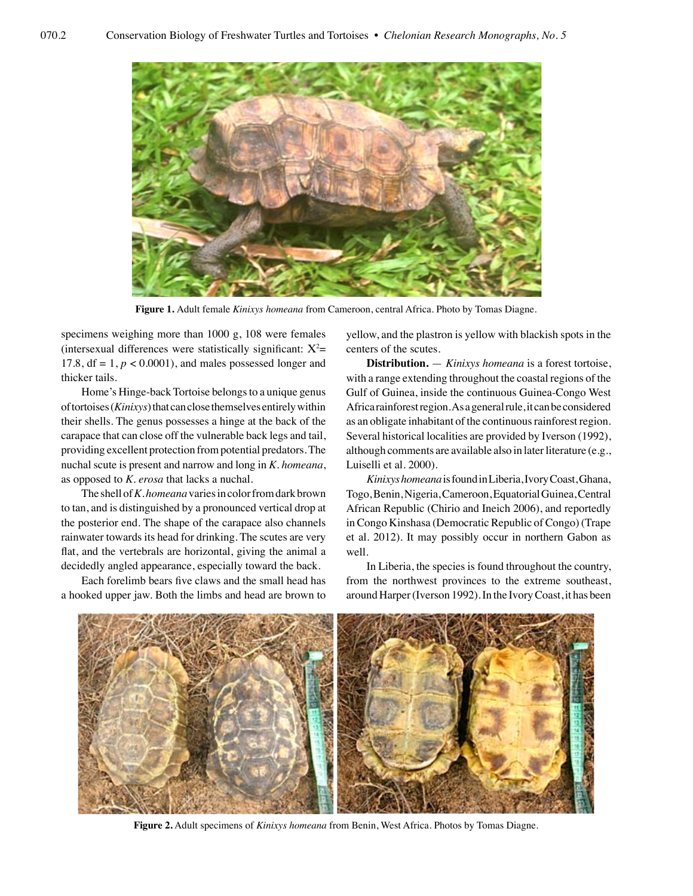

**Figure 1.** Adult female *Kinixys homeana* from Cameroon, central Africa. Photo by Tomas Diagne.

specimens weighing more than 1000 g, 108 were females (intersexual differences were statistically significant:  $X^2$ = 17.8,  $df = 1$ ,  $p < 0.0001$ ), and males possessed longer and thicker tails.

Home's Hinge-back Tortoise belongs to a unique genus of tortoises (*Kinixys*) that can close themselves entirely within their shells. The genus possesses a hinge at the back of the carapace that can close off the vulnerable back legs and tail, providing excellent protection from potential predators. The nuchal scute is present and narrow and long in *K. homeana*, as opposed to *K. erosa* that lacks a nuchal.

The shell of *K. homeana* varies in color from dark brown to tan, and is distinguished by a pronounced vertical drop at the posterior end. The shape of the carapace also channels rainwater towards its head for drinking. The scutes are very flat, and the vertebrals are horizontal, giving the animal a decidedly angled appearance, especially toward the back.

Each forelimb bears five claws and the small head has a hooked upper jaw. Both the limbs and head are brown to

yellow, and the plastron is yellow with blackish spots in the centers of the scutes.

**Distribution.** — *Kinixys homeana* is a forest tortoise, with a range extending throughout the coastal regions of the Gulf of Guinea, inside the continuous Guinea-Congo West Africa rainforest region. As a general rule, it can be considered as an obligate inhabitant of the continuous rainforest region. Several historical localities are provided by Iverson (1992), although comments are available also in later literature (e.g., Luiselli et al. 2000).

*Kinixys homeana* is found in Liberia, Ivory Coast, Ghana, Togo, Benin, Nigeria, Cameroon, Equatorial Guinea, Central African Republic (Chirio and Ineich 2006), and reportedly in Congo Kinshasa (Democratic Republic of Congo) (Trape et al. 2012). It may possibly occur in northern Gabon as well.

In Liberia, the species is found throughout the country, from the northwest provinces to the extreme southeast, around Harper (Iverson 1992). In the Ivory Coast, it has been



**Figure 2.** Adult specimens of *Kinixys homeana* from Benin, West Africa. Photos by Tomas Diagne.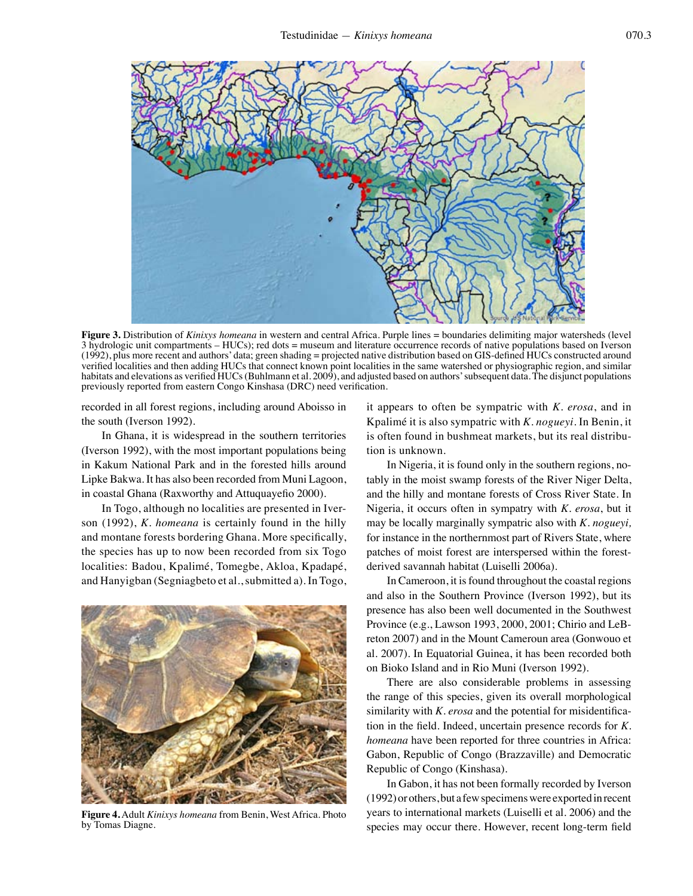

**Figure 3.** Distribution of *Kinixys homeana* in western and central Africa. Purple lines = boundaries delimiting major watersheds (level 3 hydrologic unit compartments – HUCs); red dots = museum and literature occurrence records of native populations based on Iverson (1992), plus more recent and authors' data; green shading = projected native distribution based on GIS-defined HUCs constructed around verified localities and then adding HUCs that connect known point localities in the same watershed or physiographic region, and similar habitats and elevations as verified HUCs (Buhlmann et al. 2009), and adjusted based on authors' subsequent data. The disjunct populations previously reported from eastern Congo Kinshasa (DRC) need verification.

recorded in all forest regions, including around Aboisso in the south (Iverson 1992).

In Ghana, it is widespread in the southern territories (Iverson 1992), with the most important populations being in Kakum National Park and in the forested hills around Lipke Bakwa. It has also been recorded from Muni Lagoon, in coastal Ghana (Raxworthy and Attuquayefio 2000).

In Togo, although no localities are presented in Iverson (1992), *K. homeana* is certainly found in the hilly and montane forests bordering Ghana. More specifically, the species has up to now been recorded from six Togo localities: Badou, Kpalimé, Tomegbe, Akloa, Kpadapé, and Hanyigban (Segniagbeto et al., submitted a). In Togo,



**Figure 4.** Adult *Kinixys homeana* from Benin, West Africa. Photo by Tomas Diagne.

it appears to often be sympatric with *K. erosa*, and in Kpalimé it is also sympatric with *K. nogueyi.* In Benin, it is often found in bushmeat markets, but its real distribution is unknown.

In Nigeria, it is found only in the southern regions, notably in the moist swamp forests of the River Niger Delta, and the hilly and montane forests of Cross River State. In Nigeria, it occurs often in sympatry with *K. erosa*, but it may be locally marginally sympatric also with *K. nogueyi,*  for instance in the northernmost part of Rivers State, where patches of moist forest are interspersed within the forestderived savannah habitat (Luiselli 2006a).

In Cameroon, it is found throughout the coastal regions and also in the Southern Province (Iverson 1992), but its presence has also been well documented in the Southwest Province (e.g., Lawson 1993, 2000, 2001; Chirio and LeBreton 2007) and in the Mount Cameroun area (Gonwouo et al. 2007). In Equatorial Guinea, it has been recorded both on Bioko Island and in Rio Muni (Iverson 1992).

There are also considerable problems in assessing the range of this species, given its overall morphological similarity with *K. erosa* and the potential for misidentification in the field. Indeed, uncertain presence records for *K. homeana* have been reported for three countries in Africa: Gabon, Republic of Congo (Brazzaville) and Democratic Republic of Congo (Kinshasa).

In Gabon, it has not been formally recorded by Iverson (1992) or others, but a few specimens were exported in recent years to international markets (Luiselli et al. 2006) and the species may occur there. However, recent long-term field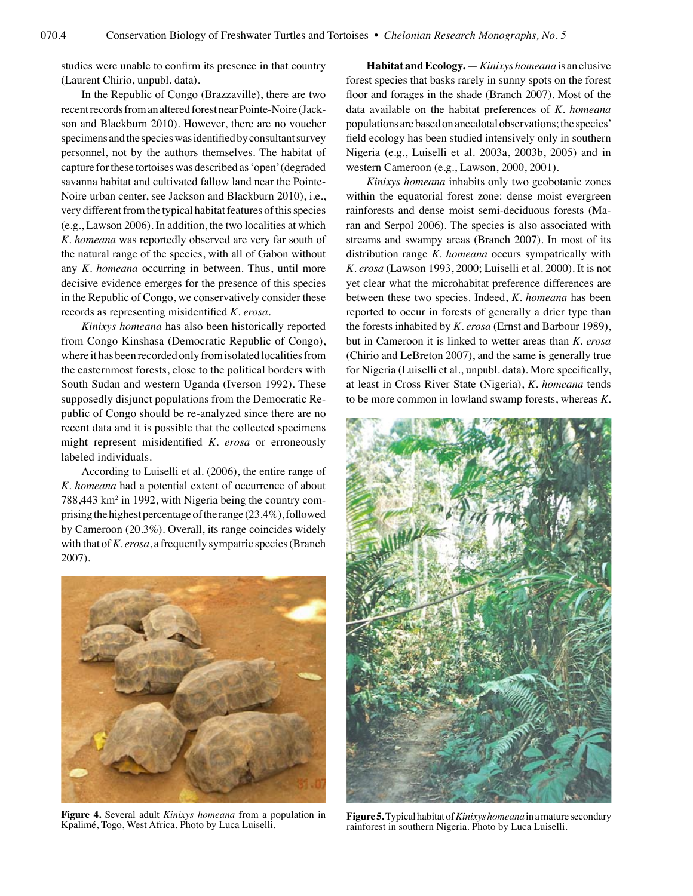studies were unable to confirm its presence in that country (Laurent Chirio, unpubl. data).

In the Republic of Congo (Brazzaville), there are two recent records from an altered forest near Pointe-Noire (Jackson and Blackburn 2010). However, there are no voucher specimens and the species was identified by consultant survey personnel, not by the authors themselves. The habitat of capture for these tortoises was described as 'open' (degraded savanna habitat and cultivated fallow land near the Pointe-Noire urban center, see Jackson and Blackburn 2010), i.e., very different from the typical habitat features of this species (e.g., Lawson 2006). In addition, the two localities at which *K. homeana* was reportedly observed are very far south of the natural range of the species, with all of Gabon without any *K. homeana* occurring in between. Thus, until more decisive evidence emerges for the presence of this species in the Republic of Congo, we conservatively consider these records as representing misidentified *K. erosa*.

*Kinixys homeana* has also been historically reported from Congo Kinshasa (Democratic Republic of Congo), where it has been recorded only from isolated localities from the easternmost forests, close to the political borders with South Sudan and western Uganda (Iverson 1992). These supposedly disjunct populations from the Democratic Republic of Congo should be re-analyzed since there are no recent data and it is possible that the collected specimens might represent misidentified *K. erosa* or erroneously labeled individuals.

According to Luiselli et al. (2006), the entire range of *K. homeana* had a potential extent of occurrence of about 788,443 km<sup>2</sup> in 1992, with Nigeria being the country comprising the highest percentage of the range (23.4%), followed by Cameroon (20.3%). Overall, its range coincides widely with that of *K. erosa*, a frequently sympatric species (Branch 2007).



**Figure 4.** Several adult *Kinixys homeana* from a population in Kpalimé, Togo, West Africa. Photo by Luca Luiselli.

**Habitat and Ecology.** —*Kinixys homeana* is an elusive forest species that basks rarely in sunny spots on the forest floor and forages in the shade (Branch 2007). Most of the data available on the habitat preferences of *K. homeana* populations are based on anecdotal observations; the species' field ecology has been studied intensively only in southern Nigeria (e.g., Luiselli et al. 2003a, 2003b, 2005) and in western Cameroon (e.g., Lawson, 2000, 2001).

*Kinixys homeana* inhabits only two geobotanic zones within the equatorial forest zone: dense moist evergreen rainforests and dense moist semi-deciduous forests (Maran and Serpol 2006). The species is also associated with streams and swampy areas (Branch 2007). In most of its distribution range *K. homeana* occurs sympatrically with *K. erosa* (Lawson 1993, 2000; Luiselli et al. 2000). It is not yet clear what the microhabitat preference differences are between these two species. Indeed, *K. homeana* has been reported to occur in forests of generally a drier type than the forests inhabited by *K. erosa* (Ernst and Barbour 1989), but in Cameroon it is linked to wetter areas than *K. erosa* (Chirio and LeBreton 2007), and the same is generally true for Nigeria (Luiselli et al., unpubl. data). More specifically, at least in Cross River State (Nigeria), *K. homeana* tends to be more common in lowland swamp forests, whereas *K.* 



**Figure 5.** Typical habitat of *Kinixys homeana* in a mature secondary rainforest in southern Nigeria. Photo by Luca Luiselli.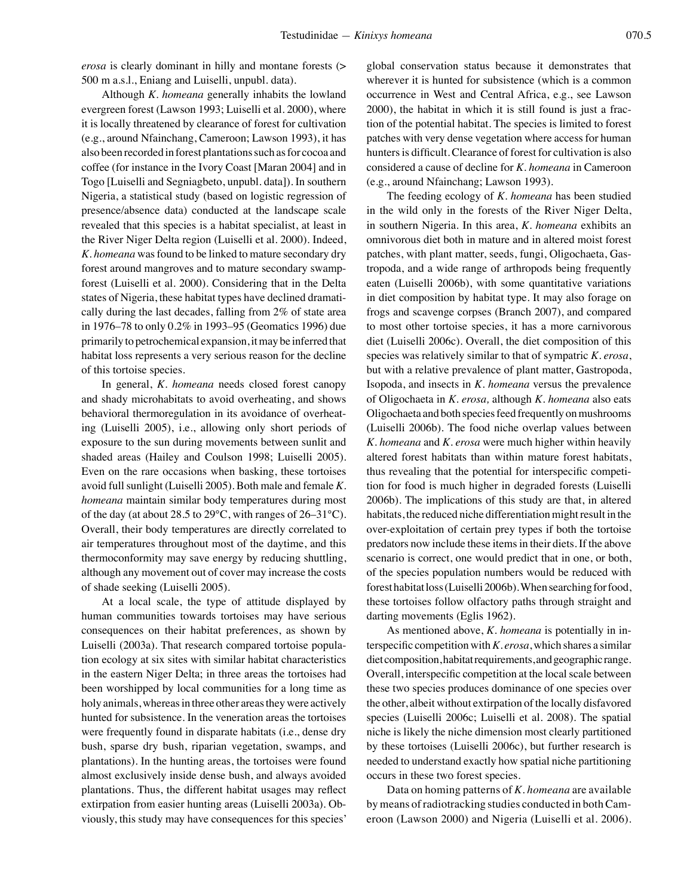*erosa* is clearly dominant in hilly and montane forests (> 500 m a.s.l., Eniang and Luiselli, unpubl. data).

Although *K. homeana* generally inhabits the lowland evergreen forest (Lawson 1993; Luiselli et al. 2000), where it is locally threatened by clearance of forest for cultivation (e.g., around Nfainchang, Cameroon; Lawson 1993), it has also been recorded in forest plantations such as for cocoa and coffee (for instance in the Ivory Coast [Maran 2004] and in Togo [Luiselli and Segniagbeto, unpubl. data]). In southern Nigeria, a statistical study (based on logistic regression of presence/absence data) conducted at the landscape scale revealed that this species is a habitat specialist, at least in the River Niger Delta region (Luiselli et al. 2000). Indeed, *K. homeana* was found to be linked to mature secondary dry forest around mangroves and to mature secondary swampforest (Luiselli et al. 2000). Considering that in the Delta states of Nigeria, these habitat types have declined dramatically during the last decades, falling from 2% of state area in 1976–78 to only 0.2% in 1993–95 (Geomatics 1996) due primarily to petrochemical expansion, it may be inferred that habitat loss represents a very serious reason for the decline of this tortoise species.

In general, *K. homeana* needs closed forest canopy and shady microhabitats to avoid overheating, and shows behavioral thermoregulation in its avoidance of overheating (Luiselli 2005), i.e., allowing only short periods of exposure to the sun during movements between sunlit and shaded areas (Hailey and Coulson 1998; Luiselli 2005). Even on the rare occasions when basking, these tortoises avoid full sunlight (Luiselli 2005). Both male and female *K. homeana* maintain similar body temperatures during most of the day (at about 28.5 to 29°C, with ranges of 26–31°C). Overall, their body temperatures are directly correlated to air temperatures throughout most of the daytime, and this thermoconformity may save energy by reducing shuttling, although any movement out of cover may increase the costs of shade seeking (Luiselli 2005).

At a local scale, the type of attitude displayed by human communities towards tortoises may have serious consequences on their habitat preferences, as shown by Luiselli (2003a). That research compared tortoise population ecology at six sites with similar habitat characteristics in the eastern Niger Delta; in three areas the tortoises had been worshipped by local communities for a long time as holy animals, whereas in three other areas they were actively hunted for subsistence. In the veneration areas the tortoises were frequently found in disparate habitats (i.e., dense dry bush, sparse dry bush, riparian vegetation, swamps, and plantations). In the hunting areas, the tortoises were found almost exclusively inside dense bush, and always avoided plantations. Thus, the different habitat usages may reflect extirpation from easier hunting areas (Luiselli 2003a). Obviously, this study may have consequences for this species'

global conservation status because it demonstrates that wherever it is hunted for subsistence (which is a common occurrence in West and Central Africa, e.g., see Lawson 2000), the habitat in which it is still found is just a fraction of the potential habitat. The species is limited to forest patches with very dense vegetation where access for human hunters is difficult. Clearance of forest for cultivation is also considered a cause of decline for *K. homeana* in Cameroon (e.g., around Nfainchang; Lawson 1993).

The feeding ecology of *K. homeana* has been studied in the wild only in the forests of the River Niger Delta, in southern Nigeria. In this area, *K. homeana* exhibits an omnivorous diet both in mature and in altered moist forest patches, with plant matter, seeds, fungi, Oligochaeta, Gastropoda, and a wide range of arthropods being frequently eaten (Luiselli 2006b), with some quantitative variations in diet composition by habitat type. It may also forage on frogs and scavenge corpses (Branch 2007), and compared to most other tortoise species, it has a more carnivorous diet (Luiselli 2006c). Overall, the diet composition of this species was relatively similar to that of sympatric *K. erosa*, but with a relative prevalence of plant matter, Gastropoda, Isopoda, and insects in *K. homeana* versus the prevalence of Oligochaeta in *K. erosa,* although *K. homeana* also eats Oligochaeta and both species feed frequently on mushrooms (Luiselli 2006b). The food niche overlap values between *K. homeana* and *K. erosa* were much higher within heavily altered forest habitats than within mature forest habitats, thus revealing that the potential for interspecific competition for food is much higher in degraded forests (Luiselli 2006b). The implications of this study are that, in altered habitats, the reduced niche differentiation might result in the over-exploitation of certain prey types if both the tortoise predators now include these items in their diets. If the above scenario is correct, one would predict that in one, or both, of the species population numbers would be reduced with forest habitat loss (Luiselli 2006b). When searching for food, these tortoises follow olfactory paths through straight and darting movements (Eglis 1962).

As mentioned above, *K. homeana* is potentially in interspecific competition with *K. erosa*, which shares a similar diet composition, habitat requirements, and geographic range. Overall, interspecific competition at the local scale between these two species produces dominance of one species over the other, albeit without extirpation of the locally disfavored species (Luiselli 2006c; Luiselli et al. 2008). The spatial niche is likely the niche dimension most clearly partitioned by these tortoises (Luiselli 2006c), but further research is needed to understand exactly how spatial niche partitioning occurs in these two forest species.

Data on homing patterns of *K. homeana* are available by means of radiotracking studies conducted in both Cameroon (Lawson 2000) and Nigeria (Luiselli et al. 2006).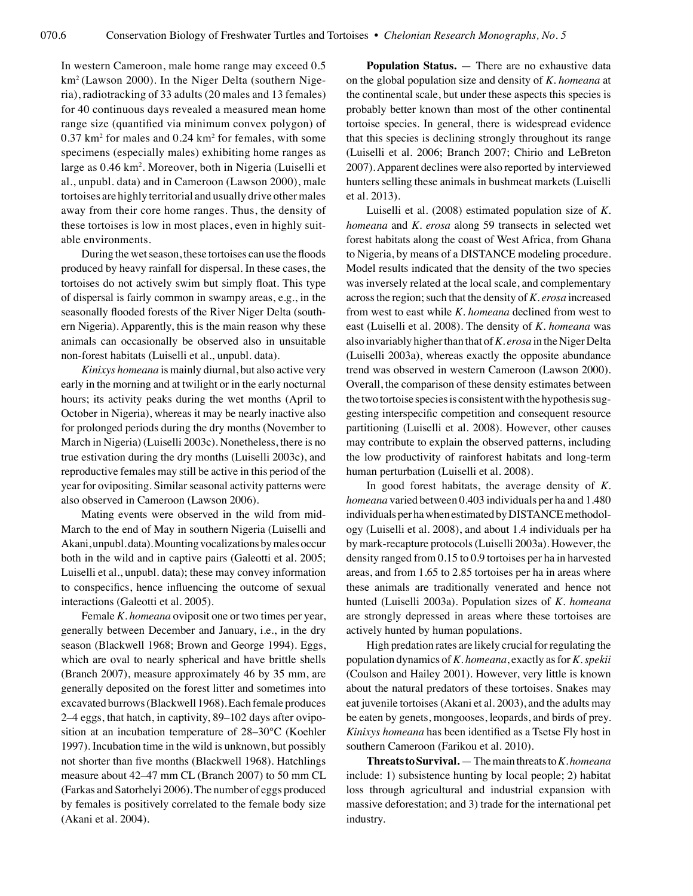In western Cameroon, male home range may exceed 0.5 km2 (Lawson 2000). In the Niger Delta (southern Nigeria), radiotracking of 33 adults (20 males and 13 females) for 40 continuous days revealed a measured mean home range size (quantified via minimum convex polygon) of  $0.37 \text{ km}^2$  for males and  $0.24 \text{ km}^2$  for females, with some specimens (especially males) exhibiting home ranges as large as 0.46 km2 . Moreover, both in Nigeria (Luiselli et al., unpubl. data) and in Cameroon (Lawson 2000), male tortoises are highly territorial and usually drive other males away from their core home ranges. Thus, the density of these tortoises is low in most places, even in highly suitable environments.

During the wet season, these tortoises can use the floods produced by heavy rainfall for dispersal. In these cases, the tortoises do not actively swim but simply float. This type of dispersal is fairly common in swampy areas, e.g., in the seasonally flooded forests of the River Niger Delta (southern Nigeria). Apparently, this is the main reason why these animals can occasionally be observed also in unsuitable non-forest habitats (Luiselli et al., unpubl. data).

*Kinixys homeana* is mainly diurnal, but also active very early in the morning and at twilight or in the early nocturnal hours; its activity peaks during the wet months (April to October in Nigeria), whereas it may be nearly inactive also for prolonged periods during the dry months (November to March in Nigeria) (Luiselli 2003c). Nonetheless, there is no true estivation during the dry months (Luiselli 2003c), and reproductive females may still be active in this period of the year for ovipositing. Similar seasonal activity patterns were also observed in Cameroon (Lawson 2006).

Mating events were observed in the wild from mid-March to the end of May in southern Nigeria (Luiselli and Akani, unpubl. data). Mounting vocalizations by males occur both in the wild and in captive pairs (Galeotti et al. 2005; Luiselli et al., unpubl. data); these may convey information to conspecifics, hence influencing the outcome of sexual interactions (Galeotti et al. 2005).

Female *K. homeana* oviposit one or two times per year, generally between December and January, i.e., in the dry season (Blackwell 1968; Brown and George 1994). Eggs, which are oval to nearly spherical and have brittle shells (Branch 2007), measure approximately 46 by 35 mm, are generally deposited on the forest litter and sometimes into excavated burrows (Blackwell 1968). Each female produces 2–4 eggs, that hatch, in captivity, 89–102 days after oviposition at an incubation temperature of 28–30°C (Koehler 1997). Incubation time in the wild is unknown, but possibly not shorter than five months (Blackwell 1968). Hatchlings measure about 42–47 mm CL (Branch 2007) to 50 mm CL (Farkas and Satorhelyi 2006). The number of eggs produced by females is positively correlated to the female body size (Akani et al. 2004).

**Population Status.** — There are no exhaustive data on the global population size and density of *K. homeana* at the continental scale, but under these aspects this species is probably better known than most of the other continental tortoise species. In general, there is widespread evidence that this species is declining strongly throughout its range (Luiselli et al. 2006; Branch 2007; Chirio and LeBreton 2007). Apparent declines were also reported by interviewed hunters selling these animals in bushmeat markets (Luiselli et al. 2013).

Luiselli et al. (2008) estimated population size of *K. homeana* and *K. erosa* along 59 transects in selected wet forest habitats along the coast of West Africa, from Ghana to Nigeria, by means of a DISTANCE modeling procedure. Model results indicated that the density of the two species was inversely related at the local scale, and complementary across the region; such that the density of *K. erosa* increased from west to east while *K. homeana* declined from west to east (Luiselli et al. 2008). The density of *K. homeana* was also invariably higher than that of *K. erosa* in the Niger Delta (Luiselli 2003a), whereas exactly the opposite abundance trend was observed in western Cameroon (Lawson 2000). Overall, the comparison of these density estimates between the two tortoise species is consistent with the hypothesis suggesting interspecific competition and consequent resource partitioning (Luiselli et al. 2008). However, other causes may contribute to explain the observed patterns, including the low productivity of rainforest habitats and long-term human perturbation (Luiselli et al. 2008).

In good forest habitats, the average density of *K. homeana* varied between 0.403 individuals per ha and 1.480 individuals per ha when estimated by DISTANCE methodology (Luiselli et al. 2008), and about 1.4 individuals per ha by mark-recapture protocols (Luiselli 2003a). However, the density ranged from 0.15 to 0.9 tortoises per ha in harvested areas, and from 1.65 to 2.85 tortoises per ha in areas where these animals are traditionally venerated and hence not hunted (Luiselli 2003a). Population sizes of *K. homeana* are strongly depressed in areas where these tortoises are actively hunted by human populations.

High predation rates are likely crucial for regulating the population dynamics of *K. homeana*, exactly as for *K. spekii* (Coulson and Hailey 2001). However, very little is known about the natural predators of these tortoises. Snakes may eat juvenile tortoises (Akani et al. 2003), and the adults may be eaten by genets, mongooses, leopards, and birds of prey. *Kinixys homeana* has been identified as a Tsetse Fly host in southern Cameroon (Farikou et al. 2010).

**Threats to Survival.** —The main threats to *K. homeana* include: 1) subsistence hunting by local people; 2) habitat loss through agricultural and industrial expansion with massive deforestation; and 3) trade for the international pet industry.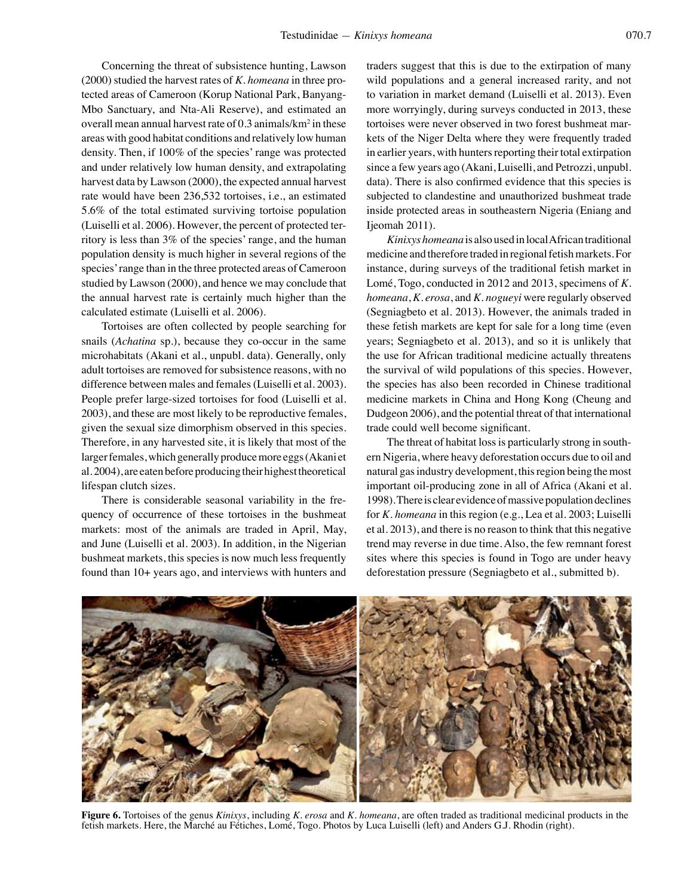Concerning the threat of subsistence hunting, Lawson (2000) studied the harvest rates of *K. homeana* in three protected areas of Cameroon (Korup National Park, Banyang-Mbo Sanctuary, and Nta-Ali Reserve), and estimated an overall mean annual harvest rate of 0.3 animals/ $km^2$  in these areas with good habitat conditions and relatively low human density. Then, if 100% of the species' range was protected and under relatively low human density, and extrapolating harvest data by Lawson (2000), the expected annual harvest rate would have been 236,532 tortoises, i.e., an estimated 5.6% of the total estimated surviving tortoise population (Luiselli et al. 2006). However, the percent of protected territory is less than 3% of the species' range, and the human population density is much higher in several regions of the species' range than in the three protected areas of Cameroon studied by Lawson (2000), and hence we may conclude that the annual harvest rate is certainly much higher than the calculated estimate (Luiselli et al. 2006).

Tortoises are often collected by people searching for snails (*Achatina* sp.), because they co-occur in the same microhabitats (Akani et al., unpubl. data). Generally, only adult tortoises are removed for subsistence reasons, with no difference between males and females (Luiselli et al. 2003). People prefer large-sized tortoises for food (Luiselli et al. 2003), and these are most likely to be reproductive females, given the sexual size dimorphism observed in this species. Therefore, in any harvested site, it is likely that most of the larger females, which generally produce more eggs (Akani et al. 2004), are eaten before producing their highest theoretical lifespan clutch sizes.

There is considerable seasonal variability in the frequency of occurrence of these tortoises in the bushmeat markets: most of the animals are traded in April, May, and June (Luiselli et al. 2003). In addition, in the Nigerian bushmeat markets, this species is now much less frequently found than 10+ years ago, and interviews with hunters and

traders suggest that this is due to the extirpation of many wild populations and a general increased rarity, and not to variation in market demand (Luiselli et al. 2013). Even more worryingly, during surveys conducted in 2013, these tortoises were never observed in two forest bushmeat markets of the Niger Delta where they were frequently traded in earlier years, with hunters reporting their total extirpation since a few years ago (Akani, Luiselli, and Petrozzi, unpubl. data). There is also confirmed evidence that this species is subjected to clandestine and unauthorized bushmeat trade inside protected areas in southeastern Nigeria (Eniang and Ijeomah 2011).

*Kinixys homeana* is also used in local African traditional medicine and therefore traded in regional fetish markets. For instance, during surveys of the traditional fetish market in Lomé, Togo, conducted in 2012 and 2013, specimens of *K. homeana*, *K. erosa*, and *K. nogueyi* were regularly observed (Segniagbeto et al. 2013). However, the animals traded in these fetish markets are kept for sale for a long time (even years; Segniagbeto et al. 2013), and so it is unlikely that the use for African traditional medicine actually threatens the survival of wild populations of this species. However, the species has also been recorded in Chinese traditional medicine markets in China and Hong Kong (Cheung and Dudgeon 2006), and the potential threat of that international trade could well become significant.

The threat of habitat loss is particularly strong in southern Nigeria, where heavy deforestation occurs due to oil and natural gas industry development, this region being the most important oil-producing zone in all of Africa (Akani et al. 1998). There is clear evidence of massive population declines for *K. homeana* in this region (e.g., Lea et al. 2003; Luiselli et al. 2013), and there is no reason to think that this negative trend may reverse in due time. Also, the few remnant forest sites where this species is found in Togo are under heavy deforestation pressure (Segniagbeto et al., submitted b).



**Figure 6.** Tortoises of the genus *Kinixys*, including *K. erosa* and *K. homeana*, are often traded as traditional medicinal products in the fetish markets. Here, the Marché au Fétiches, Lomé, Togo. Photos by Luca Luiselli (left) and Anders G.J. Rhodin (right).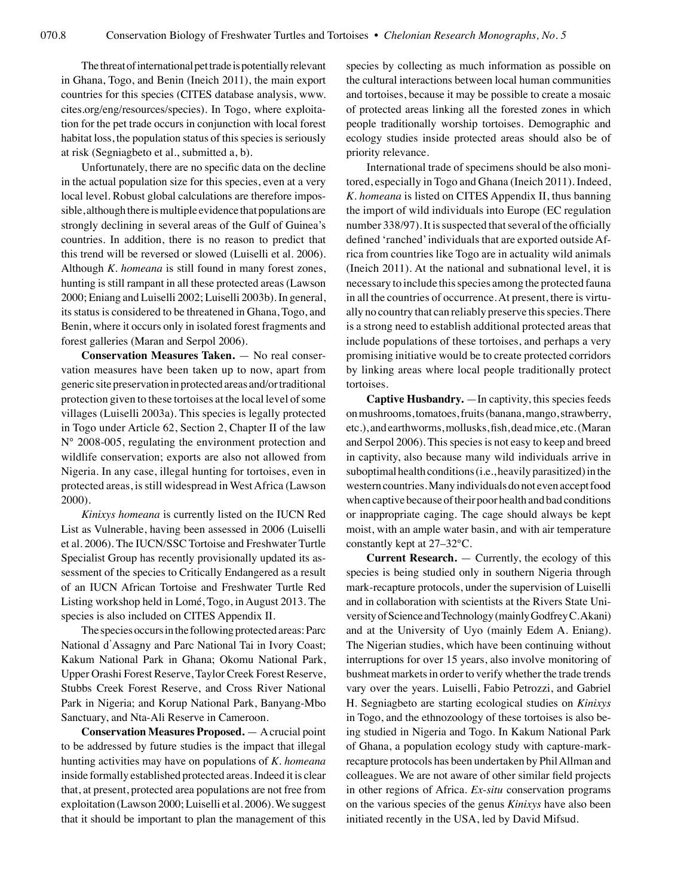The threat of international pet trade is potentially relevant in Ghana, Togo, and Benin (Ineich 2011), the main export countries for this species (CITES database analysis, www. cites.org/eng/resources/species). In Togo, where exploitation for the pet trade occurs in conjunction with local forest habitat loss, the population status of this species is seriously at risk (Segniagbeto et al., submitted a, b).

Unfortunately, there are no specific data on the decline in the actual population size for this species, even at a very local level. Robust global calculations are therefore impossible, although there is multiple evidence that populations are strongly declining in several areas of the Gulf of Guinea's countries. In addition, there is no reason to predict that this trend will be reversed or slowed (Luiselli et al. 2006). Although *K. homeana* is still found in many forest zones, hunting is still rampant in all these protected areas (Lawson 2000; Eniang and Luiselli 2002; Luiselli 2003b). In general, its status is considered to be threatened in Ghana, Togo, and Benin, where it occurs only in isolated forest fragments and forest galleries (Maran and Serpol 2006).

**Conservation Measures Taken.** — No real conservation measures have been taken up to now, apart from generic site preservation in protected areas and/or traditional protection given to these tortoises at the local level of some villages (Luiselli 2003a). This species is legally protected in Togo under Article 62, Section 2, Chapter II of the law N° 2008-005, regulating the environment protection and wildlife conservation; exports are also not allowed from Nigeria. In any case, illegal hunting for tortoises, even in protected areas, is still widespread in West Africa (Lawson 2000).

*Kinixys homeana* is currently listed on the IUCN Red List as Vulnerable, having been assessed in 2006 (Luiselli et al. 2006). The IUCN/SSC Tortoise and Freshwater Turtle Specialist Group has recently provisionally updated its assessment of the species to Critically Endangered as a result of an IUCN African Tortoise and Freshwater Turtle Red Listing workshop held in Lomé, Togo, in August 2013. The species is also included on CITES Appendix II.

The species occurs in the following protected areas: Parc National d᾿Assagny and Parc National Tai in Ivory Coast; Kakum National Park in Ghana; Okomu National Park, Upper Orashi Forest Reserve, Taylor Creek Forest Reserve, Stubbs Creek Forest Reserve, and Cross River National Park in Nigeria; and Korup National Park, Banyang-Mbo Sanctuary, and Nta-Ali Reserve in Cameroon.

**Conservation Measures Proposed.** — A crucial point to be addressed by future studies is the impact that illegal hunting activities may have on populations of *K. homeana* inside formally established protected areas. Indeed it is clear that, at present, protected area populations are not free from exploitation (Lawson 2000; Luiselli et al. 2006). We suggest that it should be important to plan the management of this species by collecting as much information as possible on the cultural interactions between local human communities and tortoises, because it may be possible to create a mosaic of protected areas linking all the forested zones in which people traditionally worship tortoises. Demographic and ecology studies inside protected areas should also be of priority relevance.

International trade of specimens should be also monitored, especially in Togo and Ghana (Ineich 2011). Indeed, *K. homeana* is listed on CITES Appendix II, thus banning the import of wild individuals into Europe (EC regulation number 338/97). It is suspected that several of the officially defined 'ranched' individuals that are exported outside Africa from countries like Togo are in actuality wild animals (Ineich 2011). At the national and subnational level, it is necessary to include this species among the protected fauna in all the countries of occurrence. At present, there is virtually no country that can reliably preserve this species. There is a strong need to establish additional protected areas that include populations of these tortoises, and perhaps a very promising initiative would be to create protected corridors by linking areas where local people traditionally protect tortoises.

**Captive Husbandry.** —In captivity, this species feeds on mushrooms, tomatoes, fruits (banana, mango, strawberry, etc.), and earthworms, mollusks, fish, dead mice, etc. (Maran and Serpol 2006). This species is not easy to keep and breed in captivity, also because many wild individuals arrive in suboptimal health conditions (i.e., heavily parasitized) in the western countries. Many individuals do not even accept food when captive because of their poor health and bad conditions or inappropriate caging. The cage should always be kept moist, with an ample water basin, and with air temperature constantly kept at 27–32°C.

**Current Research.** — Currently, the ecology of this species is being studied only in southern Nigeria through mark-recapture protocols, under the supervision of Luiselli and in collaboration with scientists at the Rivers State University of Science and Technology (mainly Godfrey C. Akani) and at the University of Uyo (mainly Edem A. Eniang). The Nigerian studies, which have been continuing without interruptions for over 15 years, also involve monitoring of bushmeat markets in order to verify whether the trade trends vary over the years. Luiselli, Fabio Petrozzi, and Gabriel H. Segniagbeto are starting ecological studies on *Kinixys*  in Togo, and the ethnozoology of these tortoises is also being studied in Nigeria and Togo. In Kakum National Park of Ghana, a population ecology study with capture-markrecapture protocols has been undertaken by Phil Allman and colleagues. We are not aware of other similar field projects in other regions of Africa. *Ex-situ* conservation programs on the various species of the genus *Kinixys* have also been initiated recently in the USA, led by David Mifsud.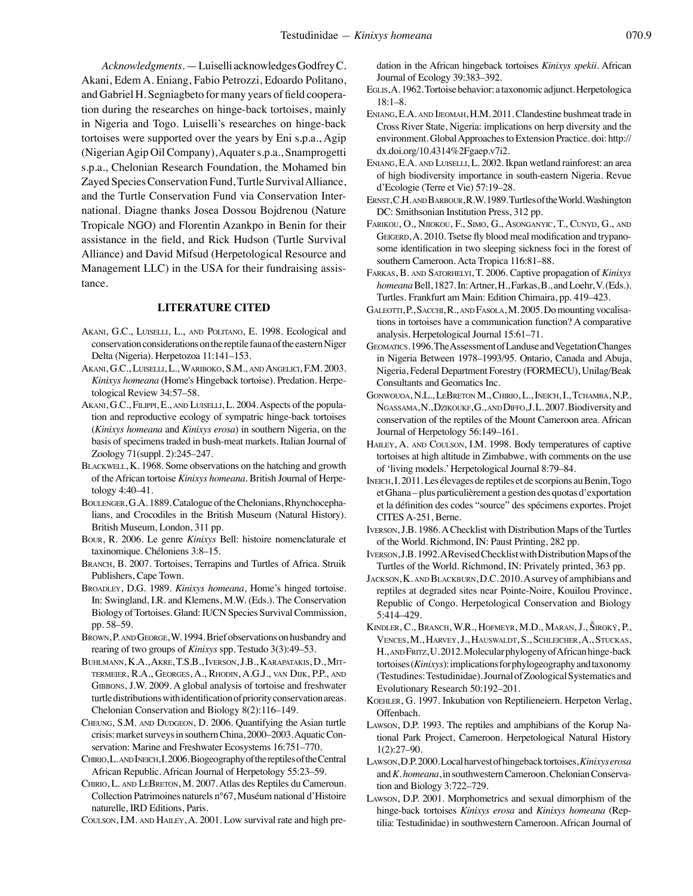*Acknowledgments*. — Luiselli acknowledges Godfrey C. Akani, Edem A. Eniang, Fabio Petrozzi, Edoardo Politano, and Gabriel H. Segniagbeto for many years of field cooperation during the researches on hinge-back tortoises, mainly in Nigeria and Togo. Luiselli's researches on hinge-back tortoises were supported over the years by Eni s.p.a., Agip (Nigerian Agip Oil Company), Aquater s.p.a., Snamprogetti s.p.a., Chelonian Research Foundation, the Mohamed bin Zayed Species Conservation Fund, Turtle Survival Alliance, and the Turtle Conservation Fund via Conservation International. Diagne thanks Josea Dossou Bojdrenou (Nature Tropicale NGO) and Florentin Azankpo in Benin for their assistance in the field, and Rick Hudson (Turtle Survival Alliance) and David Mifsud (Herpetological Resource and Management LLC) in the USA for their fundraising assistance.

## **LITERATURE CITED**

- AKANI, G.C., LUISELLI, L., AND POLITANO, E. 1998. Ecological and conservation considerations on the reptile fauna of the eastern Niger Delta (Nigeria). Herpetozoa 11:141–153.
- Akani, G.C., Luiselli, L., Wariboko, S.M., and Angelici, F.M. 2003. *Kinixys homeana* (Home's Hingeback tortoise). Predation. Herpetological Review 34:57–58.
- AKANI, G.C., FILIPPI, E., AND LUISELLI, L. 2004. Aspects of the population and reproductive ecology of sympatric hinge-back tortoises (*Kinixys homeana* and *Kinixys erosa*) in southern Nigeria, on the basis of specimens traded in bush-meat markets. Italian Journal of Zoology 71(suppl. 2):245–247.
- BLACKWELL, K. 1968. Some observations on the hatching and growth of the African tortoise *Kinixys homeana*. British Journal of Herpetology 4:40–41.
- Boulenger, G.A. 1889. Catalogue of the Chelonians, Rhynchocephalians, and Crocodiles in the British Museum (Natural History). British Museum, London, 311 pp.
- Bour, R. 2006. Le genre *Kinixys* Bell: histoire nomenclaturale et taxinomique. Chéloniens 3:8–15.
- BRANCH, B. 2007. Tortoises, Terrapins and Turtles of Africa. Struik Publishers, Cape Town.
- BROADLEY, D.G. 1989. *Kinixys homeana*, Home's hinged tortoise. In: Swingland, I.R. and Klemens, M.W. (Eds.). The Conservation Biology of Tortoises. Gland: IUCN Species Survival Commission, pp. 58–59.
- Brown, P. and George, W. 1994. Brief observations on husbandry and rearing of two groups of *Kinixys* spp. Testudo 3(3):49–53.
- Buhlmann, K.A., Akre, T.S.B., Iverson, J.B., Karapatakis, D., Mittermeier, R.A., Georges, A., Rhodin, A.G.J., van Dijk, P.P., and GIBBONS, J.W. 2009. A global analysis of tortoise and freshwater turtle distributions with identification of priority conservation areas. Chelonian Conservation and Biology 8(2):116–149.
- Cheung, S.M. and Dudgeon, D. 2006. Quantifying the Asian turtle crisis: market surveys in southern China, 2000–2003. Aquatic Conservation: Marine and Freshwater Ecosystems 16:751–770.
- CHIRIO, L. AND INEICH, I. 2006. Biogeography of the reptiles of the Central African Republic. African Journal of Herpetology 55:23–59.
- Chirio, L. and LeBreton, M. 2007. Atlas des Reptiles du Cameroun. Collection Patrimoines naturels n°67, Muséum national d'Histoire naturelle, IRD Editions, Paris.
- Coulson, I.M. and Hailey, A. 2001. Low survival rate and high pre-

dation in the African hingeback tortoises *Kinixys spekii.* African Journal of Ecology 39:383–392.

- Eglis, A. 1962. Tortoise behavior: a taxonomic adjunct. Herpetologica 18:1–8.
- Eniang, E.A. and Ijeomah, H.M. 2011. Clandestine bushmeat trade in Cross River State, Nigeria: implications on herp diversity and the environment. Global Approaches to Extension Practice. doi: http:// dx.doi.org/10.4314%2Fgaep.v7i2.
- Eniang, E.A. and Luiselli, L. 2002. Ikpan wetland rainforest: an area of high biodiversity importance in south-eastern Nigeria. Revue d'Ecologie (Terre et Vie) 57:19–28.
- ERNST, C.H. AND BARBOUR, R.W. 1989. Turtles of the World. Washington DC: Smithsonian Institution Press, 312 pp.
- Farikou, O., Njiokou, F., Simo, G., Asonganyic, T., Cunyd, G., and GEIGERD, A. 2010. Tsetse fly blood meal modification and trypanosome identification in two sleeping sickness foci in the forest of southern Cameroon. Acta Tropica 116:81–88.
- Farkas, B. and Satorhelyi, T. 2006. Captive propagation of *Kinixys homeana* Bell, 1827. In: Artner, H., Farkas, B., and Loehr, V. (Eds.). Turtles. Frankfurt am Main: Edition Chimaira, pp. 419–423.
- GALEOTTI, P., SACCHI, R., AND FASOLA, M. 2005. Do mounting vocalisations in tortoises have a communication function? A comparative analysis. Herpetological Journal 15:61–71.
- Geomatics. 1996. The Assessment of Landuse and Vegetation Changes in Nigeria Between 1978–1993/95. Ontario, Canada and Abuja, Nigeria, Federal Department Forestry (FORMECU), Unilag/Beak Consultants and Geomatics Inc.
- Gonwouoa, N.L., LeBreton M., Chirio, L., Ineich, I., Tchamba, N.P., NGASSAMA, N., DZIKOUKF, G., AND DIFFO, J.L. 2007. Biodiversity and conservation of the reptiles of the Mount Cameroon area. African Journal of Herpetology 56:149–161.
- HAILEY, A. AND COULSON, I.M. 1998. Body temperatures of captive tortoises at high altitude in Zimbabwe, with comments on the use of 'living models.' Herpetological Journal 8:79–84.
- Ineich, I. 2011. Les élevages de reptiles et de scorpions au Benin, Togo et Ghana – plus particulièrement a gestion des quotas d'exportation et la définition des codes "source" des spécimens exportes. Projet CITES A-251, Berne.
- Iverson, J.B. 1986. A Checklist with Distribution Maps of the Turtles of the World. Richmond, IN: Paust Printing, 282 pp.
- Iverson, J.B. 1992. A Revised Checklist with Distribution Maps of the Turtles of the World. Richmond, IN: Privately printed, 363 pp.
- JACKSON, K. AND BLACKBURN, D.C. 2010. A survey of amphibians and reptiles at degraded sites near Pointe-Noire, Kouilou Province, Republic of Congo. Herpetological Conservation and Biology 5:414–429.
- Kindler, C., Branch, W.R., Hofmeyr, M.D., Maran, J., Široký, P., Vences, M., Harvey, J., Hauswaldt, S., Schleicher, A., Stuckas, H., AND FRITZ, U.2012. Molecular phylogeny of African hinge-back tortoises (*Kinixys*): implications for phylogeography and taxonomy (Testudines: Testudinidae). Journal of Zoological Systematics and Evolutionary Research 50:192–201.
- Koehler, G. 1997. Inkubation von Reptilieneiern. Herpeton Verlag, Offenbach.
- Lawson, D.P. 1993. The reptiles and amphibians of the Korup National Park Project, Cameroon. Herpetological Natural History 1(2):27–90.
- Lawson, D.P. 2000. Local harvest of hingeback tortoises, *Kinixys erosa* and *K. homeana*, in southwestern Cameroon. Chelonian Conservation and Biology 3:722–729.
- Lawson, D.P. 2001. Morphometrics and sexual dimorphism of the hinge-back tortoises *Kinixys erosa* and *Kinixys homeana* (Reptilia: Testudinidae) in southwestern Cameroon. African Journal of